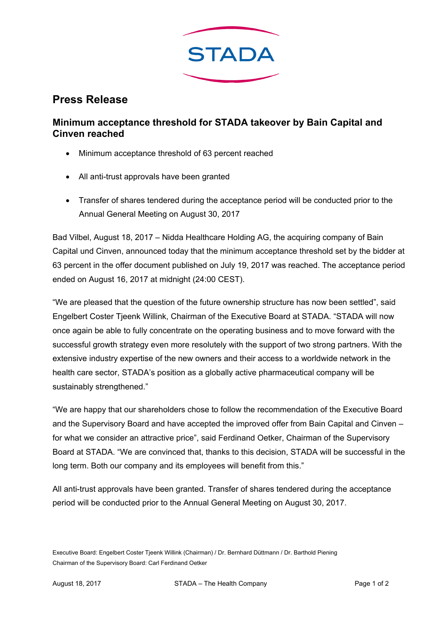

## **Press Release**

## **Minimum acceptance threshold for STADA takeover by Bain Capital and Cinven reached**

- Minimum acceptance threshold of 63 percent reached
- All anti-trust approvals have been granted
- Transfer of shares tendered during the acceptance period will be conducted prior to the Annual General Meeting on August 30, 2017

Bad Vilbel, August 18, 2017 – Nidda Healthcare Holding AG, the acquiring company of Bain Capital und Cinven, announced today that the minimum acceptance threshold set by the bidder at 63 percent in the offer document published on July 19, 2017 was reached. The acceptance period ended on August 16, 2017 at midnight (24:00 CEST).

"We are pleased that the question of the future ownership structure has now been settled", said Engelbert Coster Tjeenk Willink, Chairman of the Executive Board at STADA. "STADA will now once again be able to fully concentrate on the operating business and to move forward with the successful growth strategy even more resolutely with the support of two strong partners. With the extensive industry expertise of the new owners and their access to a worldwide network in the health care sector, STADA's position as a globally active pharmaceutical company will be sustainably strengthened."

"We are happy that our shareholders chose to follow the recommendation of the Executive Board and the Supervisory Board and have accepted the improved offer from Bain Capital and Cinven – for what we consider an attractive price", said Ferdinand Oetker, Chairman of the Supervisory Board at STADA. "We are convinced that, thanks to this decision, STADA will be successful in the long term. Both our company and its employees will benefit from this."

All anti-trust approvals have been granted. Transfer of shares tendered during the acceptance period will be conducted prior to the Annual General Meeting on August 30, 2017.

Executive Board: Engelbert Coster Tjeenk Willink (Chairman) / Dr. Bernhard Düttmann / Dr. Barthold Piening Chairman of the Supervisory Board: Carl Ferdinand Oetker